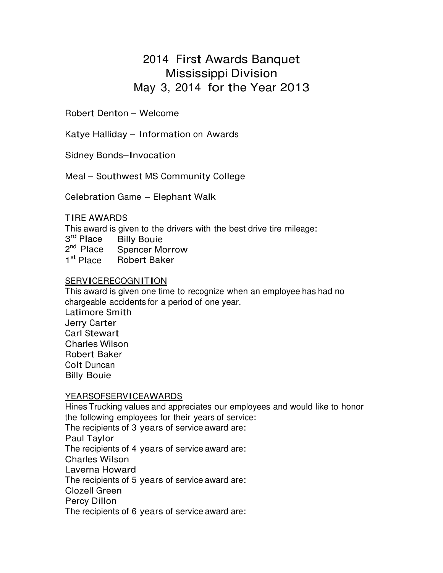# 2014 First Awards Banquet Mississippi Division May 3, 2014 for the Year 2013

Robert Denton – Welcome

Katye Halliday – Information on Awards

Sidney Bonds–Invocation

Meal – Southwest MS Community College

Celebration Game – Elephant Walk

### TIRE AWARDS

This award is given to the drivers with the best drive tire mileage:

- 3 rd Place Billy Bouie
- 2<sup>nd</sup> Place Spencer Morrow
- 1 st Robert Baker

# **SERVICERECOGNITION**

This award is given one time to recognize when an employee has had no chargeable accidents for a period of one year. Latimore Smith Jerry Carter Carl Stewart Charles Wilson Robert Baker Colt Duncan Billy Bouie

### YEARSOFSERVICEAWARDS

Hines Trucking values and appreciates our employees and would like to honor the following employees for their years of service: The recipients of 3 years of service award are: Paul Taylor The recipients of 4 years of service award are: Charles Wilson Laverna Howard The recipients of 5 years of service award are: Clozell Green Percy Dillon The recipients of 6 years of service award are: